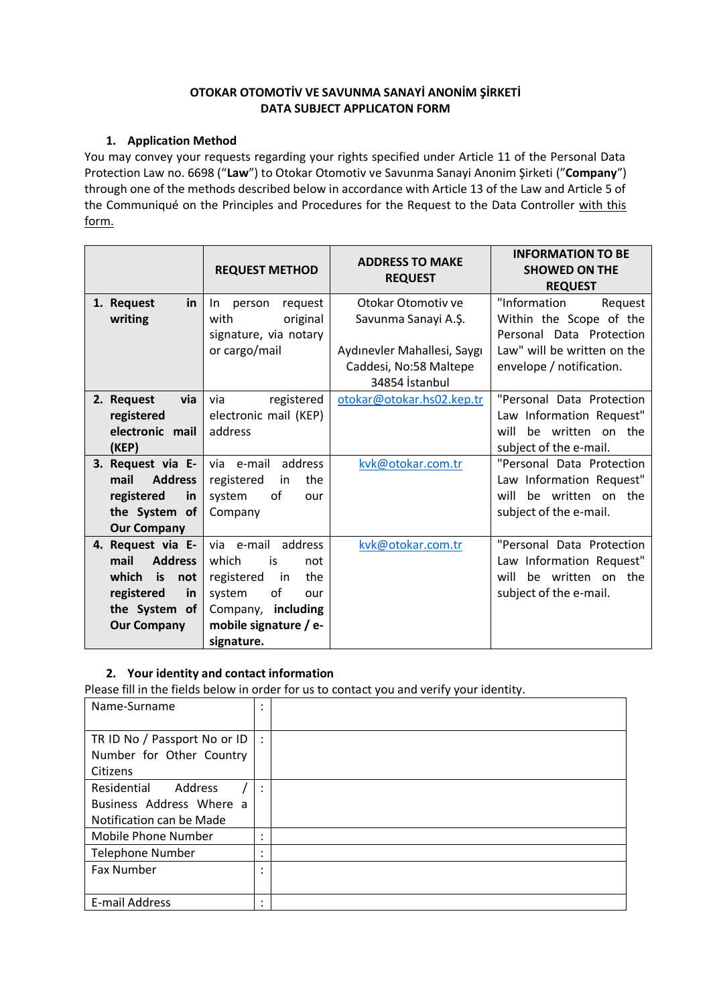## **OTOKAR OTOMOTİV VE SAVUNMA SANAYİ ANONİM ŞİRKETİ DATA SUBJECT APPLICATON FORM**

## **1. Application Method**

You may convey your requests regarding your rights specified under Article 11 of the Personal Data Protection Law no. 6698 ("**Law**") to Otokar Otomotiv ve Savunma Sanayi Anonim Şirketi ("**Company**") through one of the methods described below in accordance with Article 13 of the Law and Article 5 of the Communiqué on the Principles and Procedures for the Request to the Data Controller with this form.

|                         | <b>REQUEST METHOD</b>    | <b>ADDRESS TO MAKE</b><br><b>REQUEST</b> | <b>INFORMATION TO BE</b><br><b>SHOWED ON THE</b><br><b>REQUEST</b> |  |
|-------------------------|--------------------------|------------------------------------------|--------------------------------------------------------------------|--|
| 1. Request<br><u>in</u> | request<br>person<br>In. | Otokar Otomotiv ve                       | "Information<br>Request                                            |  |
| writing                 | with<br>original         | Savunma Sanayi A.Ş.                      | Within the Scope of the                                            |  |
|                         | signature, via notary    |                                          | Personal Data Protection                                           |  |
|                         | or cargo/mail            | Aydınevler Mahallesi, Saygı              | Law" will be written on the                                        |  |
|                         |                          | Caddesi, No:58 Maltepe                   | envelope / notification.                                           |  |
|                         |                          | 34854 İstanbul                           |                                                                    |  |
| 2. Request<br>via       | registered<br>via        | otokar@otokar.hs02.kep.tr                | "Personal Data Protection                                          |  |
| registered              | electronic mail (KEP)    |                                          | Law Information Request"                                           |  |
| electronic mail         | address                  |                                          | will<br>be written on the                                          |  |
| (KEP)                   |                          |                                          | subject of the e-mail.                                             |  |
| 3. Request via E-       | address<br>via e-mail    | kvk@otokar.com.tr                        | "Personal Data Protection                                          |  |
| mail<br><b>Address</b>  | registered<br>the<br>in  |                                          | Law Information Request"                                           |  |
| registered<br>in        | system<br>οf<br>our      |                                          | be written on the<br>will                                          |  |
| the System of           | Company                  |                                          | subject of the e-mail.                                             |  |
| <b>Our Company</b>      |                          |                                          |                                                                    |  |
| 4. Request via E-       | address<br>via e-mail    | kvk@otokar.com.tr                        | "Personal Data Protection                                          |  |
| mail<br><b>Address</b>  | which<br>is<br>not       |                                          | Law Information Request"                                           |  |
| which<br>is<br>not      | the<br>registered<br>in  |                                          | will be written on the                                             |  |
| registered<br>in        | of<br>system<br>our      |                                          | subject of the e-mail.                                             |  |
| the System of           | Company, including       |                                          |                                                                    |  |
| <b>Our Company</b>      | mobile signature / e-    |                                          |                                                                    |  |
|                         | signature.               |                                          |                                                                    |  |

# **2. Your identity and contact information**

Please fill in the fields below in order for us to contact you and verify your identity.

| Name-Surname                 | ٠<br>$\cdot$ |  |
|------------------------------|--------------|--|
| TR ID No / Passport No or ID | $\bullet$    |  |
| Number for Other Country     |              |  |
| Citizens                     |              |  |
| Residential<br>Address       | ٠            |  |
| Business Address Where a     |              |  |
| Notification can be Made     |              |  |
| Mobile Phone Number          | ٠            |  |
| <b>Telephone Number</b>      | ٠            |  |
| <b>Fax Number</b>            | ٠<br>٠       |  |
|                              |              |  |
| E-mail Address               | $\bullet$    |  |